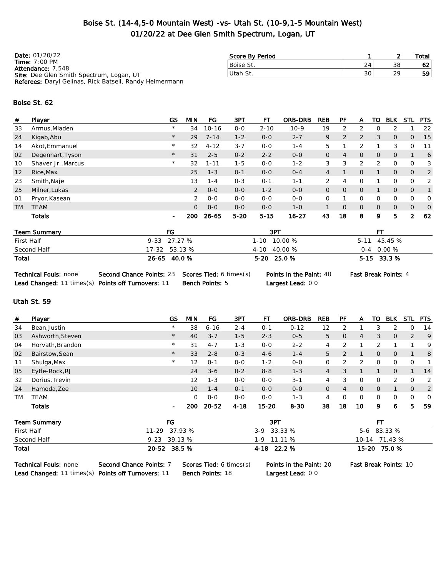## Boise St. (14-4,5-0 Mountain West) -vs- Utah St. (10-9,1-5 Mountain West) 01/20/22 at Dee Glen Smith Spectrum, Logan, UT

| <b>Date: 01/20/22</b>                                          | Score By Period |                 |    | Total           |
|----------------------------------------------------------------|-----------------|-----------------|----|-----------------|
| Time: $7:00 \text{ PM}$<br><b>Attendance: 7,548</b>            | Boise St.       | 24              | 38 | 62 <sub>1</sub> |
| <b>Site:</b> Dee Glen Smith Spectrum, Logan, UT                | Utah St.        | 30 <sub>1</sub> | 29 | 59              |
| <b>Referees:</b> Daryl Gelinas, Rick Batsell, Randy Heimermann |                 |                 |    |                 |

#### Boise St. 62

| #         | Player             | GS             | MIN            | FG        | 3PT     | FТ       | <b>ORB-DRB</b> | <b>REB</b>     | PF             | А | то | <b>BLK</b>     | STL            | <b>PTS</b>    |
|-----------|--------------------|----------------|----------------|-----------|---------|----------|----------------|----------------|----------------|---|----|----------------|----------------|---------------|
| 33        | Armus, Mladen      | $\star$        | 34             | $10 - 16$ | $0 - 0$ | $2 - 10$ | $10-9$         | 19             | 2              | 2 | Ω  | 2              |                | 22            |
| 24        | Kigab, Abu         | $\star$        | 29             | $7 - 14$  | $1 - 2$ | $0 - 0$  | $2 - 7$        | 9              | $\overline{2}$ | 2 | 3  | $\overline{O}$ | $\overline{O}$ | -15           |
| 14        | Akot, Emmanuel     | $\star$        | 32             | $4 - 12$  | $3 - 7$ | $0 - 0$  | $1 - 4$        | 5              |                | 2 |    | 3              | 0              | -11           |
| 02        | Degenhart, Tyson   | $\star$        | 31             | $2 - 5$   | $0 - 2$ | $2 - 2$  | $0 - 0$        | 0              | 4              | 0 | 0  | $\mathbf{O}$   |                | 6             |
| 10        | Shaver Jr., Marcus | $\star$        | 32             | $1 - 11$  | $1 - 5$ | $0 - 0$  | $1 - 2$        | 3              | 3              | 2 | 2  | 0              | O              | 3             |
| 12        | Rice, Max          |                | 25             | $1 - 3$   | $O - 1$ | $0 - 0$  | $O - 4$        | $\overline{4}$ |                | 0 |    | 0              | $\mathbf{O}$   | 2             |
| 23        | Smith, Naje        |                | 13             | $1 - 4$   | $0 - 3$ | $O - 1$  | $1 - 1$        | $\overline{2}$ | 4              | 0 |    | 0              | O              | 2             |
| 25        | Milner, Lukas      |                | 2              | $0 - 0$   | $0 - 0$ | $1 - 2$  | $0 - 0$        | 0              | $\Omega$       | 0 |    | $\overline{O}$ | $\overline{O}$ |               |
| 01        | Pryor, Kasean      |                | $\overline{2}$ | $0 - 0$   | $0 - 0$ | $0 - 0$  | $0 - 0$        | 0              |                | 0 | 0  | 0              | $\Omega$       | 0             |
| <b>TM</b> | <b>TEAM</b>        |                | $\Omega$       | $0 - 0$   | $O-O$   | $0 - 0$  | $1 - 0$        |                | $\Omega$       | 0 | 0  | 0              | $\mathbf{O}$   | $\mathcal{O}$ |
|           | Totals             | $\blacksquare$ | 200            | 26-65     | $5-20$  | $5 - 15$ | $16 - 27$      | 43             | 18             | 8 | 9  | 5              | 2              | 62            |

| <b>Team Summary</b> | FG            | 3PT              | FТ             |
|---------------------|---------------|------------------|----------------|
| First Half          | 9-33 27.27 %  | $1-10$ 10.00 %   | $5-11$ 45.45 % |
| Second Half         | 17-32 53.13 % | $4-10$ $40.00\%$ | $0-4$ 0.00 %   |
| Total               | 26-65 40.0 %  | $5-20$ 25.0 %    | $5-15$ 33.3 %  |

```
Technical Fouls: none Second Chance Points: 23 Scores Tied: 6 times(s) Points in the Paint: 40 Fast Break Points: 4
Lead Changed: 11 times(s) Points off Turnovers: 11 Bench Points: 5 Largest Lead: 0 0
```
### Utah St. 59

| #         | Player           | GS             | MIN      | FG        | 3PT      | FТ        | ORB-DRB  | <b>REB</b> | РF | A             | то             | <b>BLK</b>     | <b>STL</b>     | <b>PTS</b>     |
|-----------|------------------|----------------|----------|-----------|----------|-----------|----------|------------|----|---------------|----------------|----------------|----------------|----------------|
| 34        | Bean, Justin     | $^{\star}$     | 38       | $6 - 16$  | $2 - 4$  | $O - 1$   | $0 - 12$ | 12         |    |               | 3              | $\mathcal{D}$  | 0              | 14             |
| 03        | Ashworth, Steven | $\star$        | 40       | $3 - 7$   | $1 - 5$  | $2 - 3$   | $0 - 5$  | 5          | 0  | 4             | 3              | $\mathbf{O}$   | 2              | 9              |
| 04        | Horvath, Brandon | $\star$        | 31       | $4 - 7$   | $1 - 3$  | $O - O$   | $2 - 2$  | 4          |    |               |                |                |                | 9              |
| 02        | Bairstow, Sean   | $\star$        | 33       | $2 - 8$   | $0 - 3$  | $4-6$     | $1 - 4$  | 5          |    |               | $\overline{0}$ | $\overline{O}$ |                | 8              |
| 11        | Shulga, Max      | $\star$        | 12       | $0 - 1$   | $0-0$    | $1 - 2$   | $0 - 0$  | 0          | っ  | $\mathcal{P}$ | $\Omega$       | $\mathbf 0$    | 0              |                |
| 05        | Eytle-Rock, RJ   |                | 24       | $3 - 6$   | $0 - 2$  | $8 - 8$   | $1 - 3$  | 4          |    |               |                | $\overline{O}$ |                | 14             |
| 32        | Dorius, Trevin   |                | 12       | $1 - 3$   | $0-0$    | $0 - 0$   | $3 - 1$  | 4          | 3  | O             | $\Omega$       | 2              | $\overline{O}$ | 2              |
| 24        | Hamoda, Zee      |                | 10       | $1 - 4$   | $O - 1$  | $0 - 0$   | $0 - 0$  | 0          | 4  | $\mathbf{O}$  | $\Omega$       |                | $\overline{0}$ | 2              |
| <b>TM</b> | <b>TEAM</b>      |                | $\Omega$ | $0 - 0$   | $0 - 0$  | $0 - 0$   | $1 - 3$  | 4          |    | 0             | $\Omega$       | 0              | 0              | $\overline{0}$ |
|           | <b>Totals</b>    | $\blacksquare$ | 200      | $20 - 52$ | $4 - 18$ | $15 - 20$ | $8 - 30$ | 38         | 18 | 10            | 9              | 6              | 5.             | -59            |

| <b>Team Summary</b> | FG             | 3PT           |                   |
|---------------------|----------------|---------------|-------------------|
| First Half          | 11-29 37.93 %  | $3-9$ 33.33 % | 5-6 83.33 %       |
| Second Half         | $9-23$ 39.13 % | $1-9$ 11.11 % | $10-14$ $71.43\%$ |
| Total               | 20-52 38.5 %   | 4-18 22.2 %   | 15-20 75.0 %      |
|                     |                |               |                   |

Technical Fouls: none Second Chance Points: 7 Scores Tied: 6 times(s) Points in the Paint: 20 Fast Break Points: 10 Lead Changed: 11 times(s) Points off Turnovers: 11 Bench Points: 18 Largest Lead: 0 0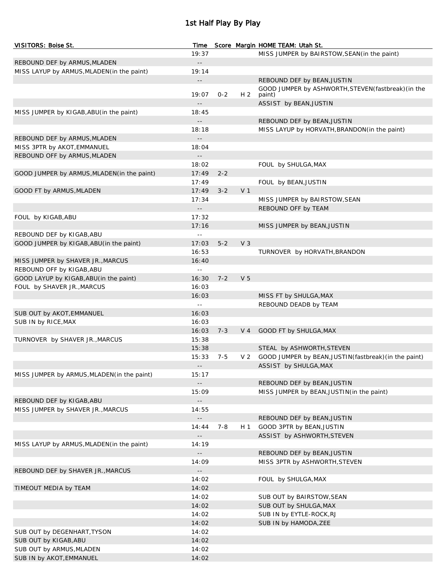# 1st Half Play By Play

| <b>VISITORS: Boise St.</b>                  | Time                                |         |                | Score Margin HOME TEAM: Utah St.                       |
|---------------------------------------------|-------------------------------------|---------|----------------|--------------------------------------------------------|
|                                             | 19:37                               |         |                | MISS JUMPER by BAIRSTOW, SEAN(in the paint)            |
| REBOUND DEF by ARMUS, MLADEN                | $\sim$ $\sim$                       |         |                |                                                        |
| MISS LAYUP by ARMUS, MLADEN(in the paint)   | 19:14                               |         |                |                                                        |
|                                             | $\overline{\phantom{a}}$ .          |         |                | REBOUND DEF by BEAN, JUSTIN                            |
|                                             | 19:07                               | $0 - 2$ | H <sub>2</sub> | GOOD JUMPER by ASHWORTH, STEVEN (fastbreak) (in the    |
|                                             |                                     |         |                | paint)<br>ASSIST by BEAN, JUSTIN                       |
| MISS JUMPER by KIGAB, ABU (in the paint)    | 18:45                               |         |                |                                                        |
|                                             |                                     |         |                | REBOUND DEF by BEAN, JUSTIN                            |
|                                             | 18:18                               |         |                | MISS LAYUP by HORVATH, BRANDON (in the paint)          |
| REBOUND DEF by ARMUS, MLADEN                |                                     |         |                |                                                        |
| MISS 3PTR by AKOT, EMMANUEL                 | 18:04                               |         |                |                                                        |
| REBOUND OFF by ARMUS, MLADEN                | $\overline{\phantom{a}}$            |         |                |                                                        |
|                                             | 18:02                               |         |                | FOUL by SHULGA, MAX                                    |
| GOOD JUMPER by ARMUS, MLADEN (in the paint) | 17:49                               | $2 - 2$ |                |                                                        |
|                                             | 17:49                               |         |                | FOUL by BEAN, JUSTIN                                   |
| GOOD FT by ARMUS, MLADEN                    | 17:49                               | $3 - 2$ | V <sub>1</sub> |                                                        |
|                                             | 17:34                               |         |                | MISS JUMPER by BAIRSTOW, SEAN                          |
|                                             | $\overline{\phantom{a}}$ .          |         |                | REBOUND OFF by TEAM                                    |
| FOUL by KIGAB, ABU                          | 17:32                               |         |                |                                                        |
|                                             | 17:16                               |         |                | MISS JUMPER by BEAN, JUSTIN                            |
| REBOUND DEF by KIGAB, ABU                   | $\sim$ $-$                          |         |                |                                                        |
| GOOD JUMPER by KIGAB, ABU (in the paint)    | 17:03                               | $5 - 2$ | V <sub>3</sub> |                                                        |
|                                             | 16:53                               |         |                | TURNOVER by HORVATH, BRANDON                           |
| MISS JUMPER by SHAVER JR., MARCUS           | 16:40                               |         |                |                                                        |
| REBOUND OFF by KIGAB, ABU                   | $\sim$ $-$                          |         |                |                                                        |
| GOOD LAYUP by KIGAB, ABU (in the paint)     | 16:30                               | $7 - 2$ | V <sub>5</sub> |                                                        |
| FOUL by SHAVER JR., MARCUS                  | 16:03                               |         |                |                                                        |
|                                             | 16:03                               |         |                | MISS FT by SHULGA, MAX                                 |
|                                             | $\sim$ $-$                          |         |                | REBOUND DEADB by TEAM                                  |
| SUB OUT by AKOT, EMMANUEL                   | 16:03                               |         |                |                                                        |
| SUB IN by RICE, MAX                         | 16:03                               |         |                |                                                        |
|                                             | 16:03                               | $7 - 3$ | $V_4$          | GOOD FT by SHULGA, MAX                                 |
| TURNOVER by SHAVER JR., MARCUS              | 15:38                               |         |                |                                                        |
|                                             | 15:38                               |         |                | STEAL by ASHWORTH, STEVEN                              |
|                                             | 15:33                               | $7 - 5$ | V <sub>2</sub> | GOOD JUMPER by BEAN, JUSTIN (fastbreak) (in the paint) |
|                                             | $\overline{\phantom{a}}$ .          |         |                | ASSIST by SHULGA, MAX                                  |
| MISS JUMPER by ARMUS, MLADEN (in the paint) | 15:17                               |         |                |                                                        |
|                                             |                                     |         |                | REBOUND DEF by BEAN, JUSTIN                            |
|                                             | 15:09                               |         |                | MISS JUMPER by BEAN, JUSTIN (in the paint)             |
| REBOUND DEF by KIGAB, ABU                   | $\overline{\phantom{a}}$ .          |         |                |                                                        |
| MISS JUMPER by SHAVER JR., MARCUS           | 14:55                               |         |                |                                                        |
|                                             | $\overline{\phantom{a}}$            |         |                | REBOUND DEF by BEAN, JUSTIN                            |
|                                             | 14:44                               | $7 - 8$ | H 1            | GOOD 3PTR by BEAN, JUSTIN                              |
|                                             | $- -$                               |         |                | ASSIST by ASHWORTH, STEVEN                             |
| MISS LAYUP by ARMUS, MLADEN (in the paint)  | 14:19                               |         |                |                                                        |
|                                             | $\overline{\phantom{a}}$ .          |         |                | REBOUND DEF by BEAN, JUSTIN                            |
|                                             | 14:09                               |         |                | MISS 3PTR by ASHWORTH, STEVEN                          |
| REBOUND DEF by SHAVER JR., MARCUS           | $\overline{\phantom{a}}$ .<br>14:02 |         |                |                                                        |
| TIMEOUT MEDIA by TEAM                       | 14:02                               |         |                | FOUL by SHULGA, MAX                                    |
|                                             | 14:02                               |         |                | SUB OUT by BAIRSTOW, SEAN                              |
|                                             | 14:02                               |         |                | SUB OUT by SHULGA, MAX                                 |
|                                             | 14:02                               |         |                | SUB IN by EYTLE-ROCK, RJ                               |
|                                             | 14:02                               |         |                | SUB IN by HAMODA, ZEE                                  |
| SUB OUT by DEGENHART, TYSON                 | 14:02                               |         |                |                                                        |
| SUB OUT by KIGAB, ABU                       | 14:02                               |         |                |                                                        |
| SUB OUT by ARMUS, MLADEN                    | 14:02                               |         |                |                                                        |
| SUB IN by AKOT, EMMANUEL                    | 14:02                               |         |                |                                                        |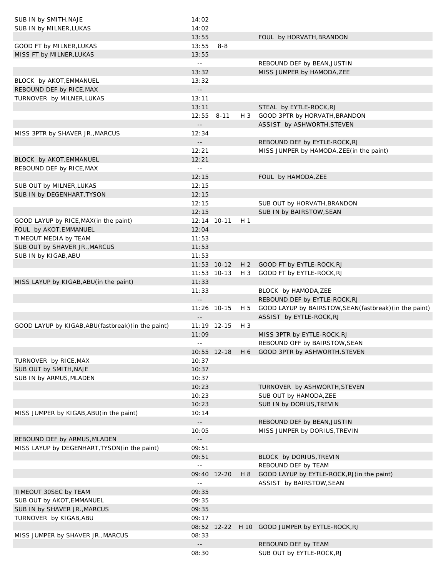| SUB IN by SMITH, NAJE                               | 14:02                                         |             |       |                                                         |
|-----------------------------------------------------|-----------------------------------------------|-------------|-------|---------------------------------------------------------|
| SUB IN by MILNER, LUKAS                             | 14:02                                         |             |       |                                                         |
|                                                     | 13:55                                         |             |       | FOUL by HORVATH, BRANDON                                |
| GOOD FT by MILNER, LUKAS                            | 13:55                                         | $8 - 8$     |       |                                                         |
| MISS FT by MILNER, LUKAS                            | 13:55                                         |             |       |                                                         |
|                                                     | $\perp$ $\perp$                               |             |       | REBOUND DEF by BEAN, JUSTIN                             |
|                                                     | 13:32                                         |             |       | MISS JUMPER by HAMODA, ZEE                              |
| BLOCK by AKOT, EMMANUEL                             | 13:32                                         |             |       |                                                         |
| REBOUND DEF by RICE, MAX                            | $\mathord{\hspace{1pt}\text{--}\hspace{1pt}}$ |             |       |                                                         |
| TURNOVER by MILNER, LUKAS                           | 13:11                                         |             |       |                                                         |
|                                                     | 13:11                                         |             |       | STEAL by EYTLE-ROCK, RJ                                 |
|                                                     | 12:55                                         | $8 - 11$    | $H_3$ | GOOD 3PTR by HORVATH, BRANDON                           |
|                                                     | $\mathord{\hspace{1pt}\text{--}\hspace{1pt}}$ |             |       | ASSIST by ASHWORTH, STEVEN                              |
| MISS 3PTR by SHAVER JR., MARCUS                     | 12:34                                         |             |       |                                                         |
|                                                     | $\mathord{\hspace{1pt}\text{--}\hspace{1pt}}$ |             |       | REBOUND DEF by EYTLE-ROCK, RJ                           |
|                                                     | 12:21                                         |             |       | MISS JUMPER by HAMODA, ZEE (in the paint)               |
| BLOCK by AKOT, EMMANUEL                             | 12:21                                         |             |       |                                                         |
| REBOUND DEF by RICE, MAX                            | $\sim$ $-$                                    |             |       |                                                         |
|                                                     | 12:15                                         |             |       | FOUL by HAMODA, ZEE                                     |
| SUB OUT by MILNER, LUKAS                            | 12:15                                         |             |       |                                                         |
| SUB IN by DEGENHART, TYSON                          | 12:15                                         |             |       |                                                         |
|                                                     | 12:15                                         |             |       | SUB OUT by HORVATH, BRANDON                             |
|                                                     | 12:15                                         |             |       | SUB IN by BAIRSTOW, SEAN                                |
| GOOD LAYUP by RICE, MAX (in the paint)              | 12:14 10-11                                   |             | H 1   |                                                         |
| FOUL by AKOT, EMMANUEL                              | 12:04                                         |             |       |                                                         |
| TIMEOUT MEDIA by TEAM                               | 11:53                                         |             |       |                                                         |
| SUB OUT by SHAVER JR., MARCUS                       | 11:53                                         |             |       |                                                         |
| SUB IN by KIGAB, ABU                                | 11:53                                         |             |       |                                                         |
|                                                     |                                               | 11:53 10-12 |       | H 2 GOOD FT by EYTLE-ROCK, RJ                           |
|                                                     | 11:53 10-13                                   |             | $H_3$ | GOOD FT by EYTLE-ROCK, RJ                               |
| MISS LAYUP by KIGAB, ABU (in the paint)             | 11:33                                         |             |       |                                                         |
|                                                     | 11:33                                         |             |       | BLOCK by HAMODA, ZEE                                    |
|                                                     |                                               |             |       | REBOUND DEF by EYTLE-ROCK, RJ                           |
|                                                     | $\overline{\phantom{a}}$ .<br>11:26 10-15     |             |       |                                                         |
|                                                     |                                               |             | H 5   | GOOD LAYUP by BAIRSTOW, SEAN (fastbreak) (in the paint) |
|                                                     | $\overline{\phantom{a}}$ .                    |             |       | ASSIST by EYTLE-ROCK, RJ                                |
| GOOD LAYUP by KIGAB, ABU (fastbreak) (in the paint) | 11:19 12-15                                   |             | $H_3$ | MISS 3PTR by EYTLE-ROCK, RJ                             |
|                                                     | 11:09                                         |             |       |                                                         |
|                                                     |                                               |             |       |                                                         |
|                                                     |                                               |             |       | REBOUND OFF by BAIRSTOW, SEAN                           |
|                                                     | 10:55 12-18                                   |             |       | H 6 GOOD 3PTR by ASHWORTH, STEVEN                       |
| TURNOVER by RICE, MAX                               | 10:37                                         |             |       |                                                         |
| SUB OUT by SMITH, NAJE                              | 10:37                                         |             |       |                                                         |
| SUB IN by ARMUS, MLADEN                             | 10:37                                         |             |       |                                                         |
|                                                     | 10:23                                         |             |       | TURNOVER by ASHWORTH, STEVEN                            |
|                                                     | 10:23                                         |             |       | SUB OUT by HAMODA, ZEE                                  |
|                                                     | 10:23                                         |             |       | SUB IN by DORIUS, TREVIN                                |
| MISS JUMPER by KIGAB, ABU (in the paint)            | 10:14                                         |             |       |                                                         |
|                                                     | $\mathbb{H}^{\mathbb{H}}$                     |             |       | REBOUND DEF by BEAN, JUSTIN                             |
|                                                     | 10:05                                         |             |       | MISS JUMPER by DORIUS, TREVIN                           |
| REBOUND DEF by ARMUS, MLADEN                        | $\mathord{\hspace{1pt}\text{--}\hspace{1pt}}$ |             |       |                                                         |
| MISS LAYUP by DEGENHART, TYSON (in the paint)       | 09:51                                         |             |       |                                                         |
|                                                     | 09:51                                         |             |       | BLOCK by DORIUS, TREVIN                                 |
|                                                     |                                               |             |       | REBOUND DEF by TEAM                                     |
|                                                     | 09:40 12-20                                   |             | H 8   | GOOD LAYUP by EYTLE-ROCK, RJ (in the paint)             |
|                                                     | $\sim$ $-$                                    |             |       | ASSIST by BAIRSTOW, SEAN                                |
| TIMEOUT 30SEC by TEAM                               | 09:35                                         |             |       |                                                         |
| SUB OUT by AKOT, EMMANUEL                           | 09:35                                         |             |       |                                                         |
| SUB IN by SHAVER JR., MARCUS                        | 09:35                                         |             |       |                                                         |
| TURNOVER by KIGAB, ABU                              | 09:17                                         |             |       |                                                         |
|                                                     |                                               |             |       | 08:52 12-22 H 10 GOOD JUMPER by EYTLE-ROCK, RJ          |
| MISS JUMPER by SHAVER JR., MARCUS                   | 08:33                                         |             |       |                                                         |
|                                                     | $\mathord{\hspace{1pt}\text{--}\hspace{1pt}}$ |             |       | REBOUND DEF by TEAM                                     |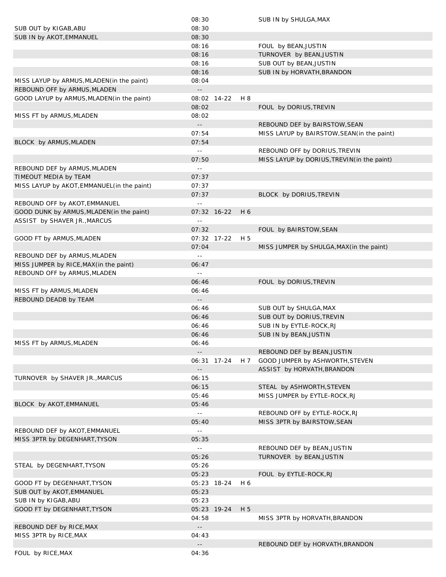|                                             | 08:30                                         |     | SUB IN by SHULGA, MAX                       |
|---------------------------------------------|-----------------------------------------------|-----|---------------------------------------------|
| SUB OUT by KIGAB, ABU                       | 08:30                                         |     |                                             |
| SUB IN by AKOT, EMMANUEL                    | 08:30                                         |     |                                             |
|                                             | 08:16                                         |     | FOUL by BEAN, JUSTIN                        |
|                                             | 08:16                                         |     | TURNOVER by BEAN, JUSTIN                    |
|                                             | 08:16                                         |     | SUB OUT by BEAN, JUSTIN                     |
|                                             | 08:16                                         |     | SUB IN by HORVATH, BRANDON                  |
| MISS LAYUP by ARMUS, MLADEN (in the paint)  | 08:04                                         |     |                                             |
| REBOUND OFF by ARMUS, MLADEN                | $\mathord{\hspace{1pt}\text{--}\hspace{1pt}}$ |     |                                             |
| GOOD LAYUP by ARMUS, MLADEN (in the paint)  | 08:02 14-22                                   | H 8 |                                             |
|                                             | 08:02                                         |     | FOUL by DORIUS, TREVIN                      |
| MISS FT by ARMUS, MLADEN                    | 08:02                                         |     |                                             |
|                                             | $\mathord{\hspace{1pt}\text{--}\hspace{1pt}}$ |     | REBOUND DEF by BAIRSTOW, SEAN               |
|                                             | 07:54                                         |     | MISS LAYUP by BAIRSTOW, SEAN (in the paint) |
| BLOCK by ARMUS, MLADEN                      | 07:54                                         |     |                                             |
|                                             | $\mathbb{L} \mathbb{L}$                       |     | REBOUND OFF by DORIUS, TREVIN               |
|                                             | 07:50                                         |     | MISS LAYUP by DORIUS, TREVIN(in the paint)  |
| REBOUND DEF by ARMUS, MLADEN                | $\sim$ $-$                                    |     |                                             |
|                                             | 07:37                                         |     |                                             |
| TIMEOUT MEDIA by TEAM                       |                                               |     |                                             |
| MISS LAYUP by AKOT, EMMANUEL (in the paint) | 07:37                                         |     |                                             |
|                                             | 07:37                                         |     | BLOCK by DORIUS, TREVIN                     |
| REBOUND OFF by AKOT, EMMANUEL               | $\sim$ $-$                                    |     |                                             |
| GOOD DUNK by ARMUS, MLADEN (in the paint)   | 07:32 16-22                                   | H 6 |                                             |
| ASSIST by SHAVER JR., MARCUS                | $\sim$ $-$                                    |     |                                             |
|                                             | 07:32                                         |     | FOUL by BAIRSTOW, SEAN                      |
| GOOD FT by ARMUS, MLADEN                    | 07:32 17-22                                   | H 5 |                                             |
|                                             | 07:04                                         |     | MISS JUMPER by SHULGA, MAX (in the paint)   |
| REBOUND DEF by ARMUS, MLADEN                | $\sim$ $-$                                    |     |                                             |
| MISS JUMPER by RICE, MAX (in the paint)     | 06:47                                         |     |                                             |
| REBOUND OFF by ARMUS, MLADEN                | $\sim$ $-$                                    |     |                                             |
|                                             | 06:46                                         |     | FOUL by DORIUS, TREVIN                      |
| MISS FT by ARMUS, MLADEN                    | 06:46                                         |     |                                             |
| REBOUND DEADB by TEAM                       | $\overline{\phantom{a}}$ .                    |     |                                             |
|                                             | 06:46                                         |     | SUB OUT by SHULGA, MAX                      |
|                                             | 06:46                                         |     | SUB OUT by DORIUS, TREVIN                   |
|                                             | 06:46                                         |     | SUB IN by EYTLE-ROCK, RJ                    |
|                                             | 06:46                                         |     | SUB IN by BEAN, JUSTIN                      |
| MISS FT by ARMUS, MLADEN                    | 06:46                                         |     |                                             |
|                                             | $\overline{\phantom{a}}$ .                    |     | REBOUND DEF by BEAN, JUSTIN                 |
|                                             | 06:31 17-24                                   | H 7 | GOOD JUMPER by ASHWORTH, STEVEN             |
|                                             | $ -$                                          |     | ASSIST by HORVATH, BRANDON                  |
| TURNOVER by SHAVER JR., MARCUS              | 06:15                                         |     |                                             |
|                                             | 06:15                                         |     | STEAL by ASHWORTH, STEVEN                   |
|                                             | 05:46                                         |     | MISS JUMPER by EYTLE-ROCK, RJ               |
| BLOCK by AKOT, EMMANUEL                     | 05:46                                         |     |                                             |
|                                             | $\Box$                                        |     | REBOUND OFF by EYTLE-ROCK, RJ               |
|                                             | 05:40                                         |     | MISS 3PTR by BAIRSTOW, SEAN                 |
|                                             |                                               |     |                                             |
| REBOUND DEF by AKOT, EMMANUEL               | $\sim$ $-$                                    |     |                                             |
| MISS 3PTR by DEGENHART, TYSON               | 05:35                                         |     |                                             |
|                                             | $\sim$ $-$                                    |     | REBOUND DEF by BEAN, JUSTIN                 |
|                                             | 05:26                                         |     | TURNOVER by BEAN, JUSTIN                    |
| STEAL by DEGENHART, TYSON                   | 05:26                                         |     |                                             |
|                                             | 05:23                                         |     | FOUL by EYTLE-ROCK, RJ                      |
| GOOD FT by DEGENHART, TYSON                 | 05:23 18-24                                   | H 6 |                                             |
| SUB OUT by AKOT, EMMANUEL                   | 05:23                                         |     |                                             |
| SUB IN by KIGAB, ABU                        | 05:23                                         |     |                                             |
| GOOD FT by DEGENHART, TYSON                 | 05:23 19-24                                   | H 5 |                                             |
|                                             | 04:58                                         |     | MISS 3PTR by HORVATH, BRANDON               |
| REBOUND DEF by RICE, MAX                    | $\overline{\phantom{a}}$ .                    |     |                                             |
| MISS 3PTR by RICE, MAX                      | 04:43                                         |     |                                             |
|                                             |                                               |     |                                             |
|                                             | $\sim$ $-$                                    |     | REBOUND DEF by HORVATH, BRANDON             |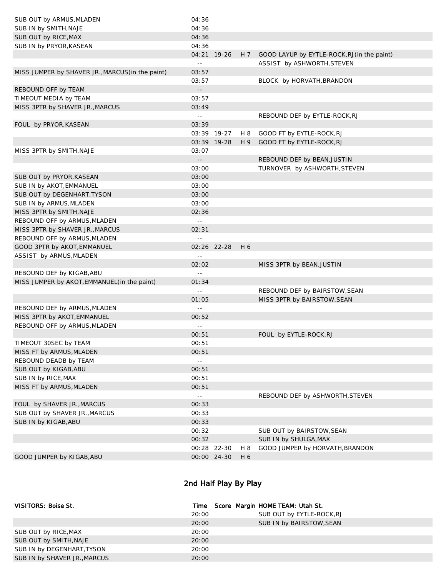| SUB OUT by ARMUS, MLADEN                         | 04:36         |             |     |                                                 |
|--------------------------------------------------|---------------|-------------|-----|-------------------------------------------------|
| SUB IN by SMITH, NAJE                            | 04:36         |             |     |                                                 |
| SUB OUT by RICE, MAX                             | 04:36         |             |     |                                                 |
| SUB IN by PRYOR, KASEAN                          | 04:36         |             |     |                                                 |
|                                                  |               | 04:21 19-26 |     | H 7 GOOD LAYUP by EYTLE-ROCK, RJ (in the paint) |
|                                                  | $\sim$ $\sim$ |             |     | ASSIST by ASHWORTH, STEVEN                      |
| MISS JUMPER by SHAVER JR., MARCUS (in the paint) | 03:57         |             |     |                                                 |
|                                                  | 03:57         |             |     | BLOCK by HORVATH, BRANDON                       |
| REBOUND OFF by TEAM                              | $- \, -$      |             |     |                                                 |
| TIMEOUT MEDIA by TEAM                            | 03:57         |             |     |                                                 |
| MISS 3PTR by SHAVER JR., MARCUS                  | 03:49         |             |     |                                                 |
|                                                  | $\sim$ $\sim$ |             |     | REBOUND DEF by EYTLE-ROCK, RJ                   |
| FOUL by PRYOR, KASEAN                            | 03:39         |             |     |                                                 |
|                                                  |               | 03:39 19-27 | H 8 | GOOD FT by EYTLE-ROCK, RJ                       |
|                                                  |               | 03:39 19-28 |     | H 9 GOOD FT by EYTLE-ROCK, RJ                   |
| MISS 3PTR by SMITH, NAJE                         | 03:07         |             |     |                                                 |
|                                                  | $\sim$ $\sim$ |             |     | REBOUND DEF by BEAN, JUSTIN                     |
|                                                  | 03:00         |             |     | TURNOVER by ASHWORTH, STEVEN                    |
| SUB OUT by PRYOR, KASEAN                         | 03:00         |             |     |                                                 |
| SUB IN by AKOT, EMMANUEL                         | 03:00         |             |     |                                                 |
| SUB OUT by DEGENHART, TYSON                      | 03:00         |             |     |                                                 |
| SUB IN by ARMUS, MLADEN                          | 03:00         |             |     |                                                 |
| MISS 3PTR by SMITH, NAJE                         | 02:36         |             |     |                                                 |
| REBOUND OFF by ARMUS, MLADEN                     | $\sim$ $\sim$ |             |     |                                                 |
| MISS 3PTR by SHAVER JR., MARCUS                  | 02:31         |             |     |                                                 |
| REBOUND OFF by ARMUS, MLADEN                     | $\sim$ $-$    |             |     |                                                 |
| GOOD 3PTR by AKOT, EMMANUEL                      |               | 02:26 22-28 | H 6 |                                                 |
| ASSIST by ARMUS, MLADEN                          | $\sim$ $-$    |             |     |                                                 |
|                                                  | 02:02         |             |     | MISS 3PTR by BEAN, JUSTIN                       |
| REBOUND DEF by KIGAB, ABU                        | $\sim$ $\sim$ |             |     |                                                 |
| MISS JUMPER by AKOT, EMMANUEL (in the paint)     | 01:34         |             |     |                                                 |
|                                                  | $\sim$ $\sim$ |             |     | REBOUND DEF by BAIRSTOW, SEAN                   |
|                                                  | 01:05         |             |     | MISS 3PTR by BAIRSTOW, SEAN                     |
| REBOUND DEF by ARMUS, MLADEN                     | $\sim$ $\sim$ |             |     |                                                 |
| MISS 3PTR by AKOT, EMMANUEL                      | 00:52         |             |     |                                                 |
| REBOUND OFF by ARMUS, MLADEN                     | $\sim$ $\sim$ |             |     |                                                 |
|                                                  | 00:51         |             |     | FOUL by EYTLE-ROCK, RJ                          |
| TIMEOUT 30SEC by TEAM                            | 00:51         |             |     |                                                 |
| MISS FT by ARMUS, MLADEN                         | 00:51         |             |     |                                                 |
| REBOUND DEADB by TEAM                            | $\sim$ $\sim$ |             |     |                                                 |
| SUB OUT by KIGAB, ABU                            | 00:51         |             |     |                                                 |
| SUB IN by RICE, MAX                              | 00:51         |             |     |                                                 |
| MISS FT by ARMUS, MLADEN                         | 00:51         |             |     |                                                 |
|                                                  | $\sim$ $\sim$ |             |     | REBOUND DEF by ASHWORTH, STEVEN                 |
| FOUL by SHAVER JR., MARCUS                       | 00:33         |             |     |                                                 |
| SUB OUT by SHAVER JR., MARCUS                    | 00:33         |             |     |                                                 |
| SUB IN by KIGAB, ABU                             | 00:33         |             |     |                                                 |
|                                                  | 00:32         |             |     | SUB OUT by BAIRSTOW, SEAN                       |
|                                                  | 00:32         |             |     | SUB IN by SHULGA, MAX                           |
|                                                  |               | 00:28 22-30 | H 8 | GOOD JUMPER by HORVATH, BRANDON                 |
| GOOD JUMPER by KIGAB, ABU                        |               | 00:00 24-30 | H 6 |                                                 |
|                                                  |               |             |     |                                                 |

# 2nd Half Play By Play

| VISITORS: Boise St.          | Time  | Score Margin HOME TEAM: Utah St. |  |
|------------------------------|-------|----------------------------------|--|
|                              | 20:00 | SUB OUT by EYTLE-ROCK, RJ        |  |
|                              | 20:00 | SUB IN by BAIRSTOW, SEAN         |  |
| SUB OUT by RICE, MAX         | 20:00 |                                  |  |
| SUB OUT by SMITH, NAJE       | 20:00 |                                  |  |
| SUB IN by DEGENHART, TYSON   | 20:00 |                                  |  |
| SUB IN by SHAVER JR., MARCUS | 20:00 |                                  |  |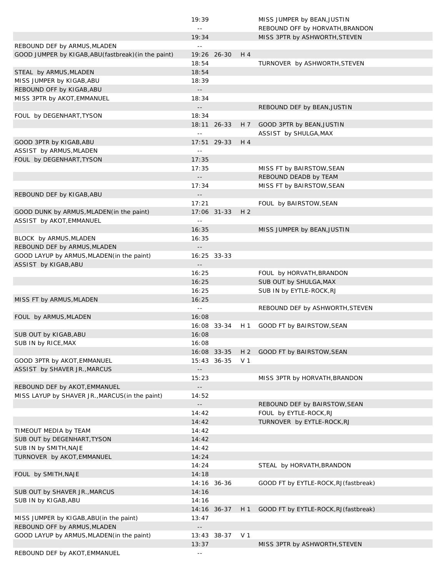|                                                     | 19:39                                         |               |                | MISS JUMPER by BEAN, JUSTIN                        |
|-----------------------------------------------------|-----------------------------------------------|---------------|----------------|----------------------------------------------------|
|                                                     | $\sim$ $-$                                    |               |                | REBOUND OFF by HORVATH, BRANDON                    |
|                                                     | 19:34                                         |               |                | MISS 3PTR by ASHWORTH, STEVEN                      |
| REBOUND DEF by ARMUS, MLADEN                        | $- -$                                         |               |                |                                                    |
| GOOD JUMPER by KIGAB, ABU(fastbreak) (in the paint) |                                               | 19:26 26-30   | H 4            |                                                    |
|                                                     | 18:54                                         |               |                | TURNOVER by ASHWORTH, STEVEN                       |
| STEAL by ARMUS, MLADEN                              | 18:54                                         |               |                |                                                    |
| MISS JUMPER by KIGAB, ABU                           | 18:39                                         |               |                |                                                    |
| REBOUND OFF by KIGAB, ABU                           | $\sim$ $-$                                    |               |                |                                                    |
| MISS 3PTR by AKOT, EMMANUEL                         | 18:34                                         |               |                |                                                    |
|                                                     | $\overline{\phantom{a}}$ .                    |               |                | REBOUND DEF by BEAN, JUSTIN                        |
| FOUL by DEGENHART, TYSON                            | 18:34                                         |               |                |                                                    |
|                                                     | $\perp$ $\perp$                               | 18:11 26-33   | H 7            | GOOD 3PTR by BEAN, JUSTIN<br>ASSIST by SHULGA, MAX |
| GOOD 3PTR by KIGAB, ABU                             |                                               | $17:51$ 29-33 | H 4            |                                                    |
| ASSIST by ARMUS, MLADEN                             | $\perp$ $\perp$                               |               |                |                                                    |
| FOUL by DEGENHART, TYSON                            | 17:35                                         |               |                |                                                    |
|                                                     | 17:35                                         |               |                | MISS FT by BAIRSTOW, SEAN                          |
|                                                     | $\sim$ $-$                                    |               |                | REBOUND DEADB by TEAM                              |
|                                                     | 17:34                                         |               |                | MISS FT by BAIRSTOW, SEAN                          |
| REBOUND DEF by KIGAB, ABU                           | $\sim$ $\sim$                                 |               |                |                                                    |
|                                                     | 17:21                                         |               |                | FOUL by BAIRSTOW, SEAN                             |
| GOOD DUNK by ARMUS, MLADEN (in the paint)           |                                               | 17:06 31-33   | H <sub>2</sub> |                                                    |
| ASSIST by AKOT, EMMANUEL                            | $\perp$ $\perp$                               |               |                |                                                    |
|                                                     | 16:35                                         |               |                | MISS JUMPER by BEAN, JUSTIN                        |
| BLOCK by ARMUS, MLADEN                              | 16:35                                         |               |                |                                                    |
| REBOUND DEF by ARMUS, MLADEN                        | $\sim$ $\sim$                                 |               |                |                                                    |
| GOOD LAYUP by ARMUS, MLADEN (in the paint)          |                                               | 16:25 33-33   |                |                                                    |
| ASSIST by KIGAB, ABU                                | $\sim$ $\sim$                                 |               |                |                                                    |
|                                                     | 16:25                                         |               |                | FOUL by HORVATH, BRANDON                           |
|                                                     | 16:25                                         |               |                | SUB OUT by SHULGA, MAX                             |
|                                                     | 16:25                                         |               |                | SUB IN by EYTLE-ROCK, RJ                           |
| MISS FT by ARMUS, MLADEN                            | 16:25                                         |               |                |                                                    |
|                                                     | $\sim$ $\sim$                                 |               |                | REBOUND DEF by ASHWORTH, STEVEN                    |
| FOUL by ARMUS, MLADEN                               | 16:08                                         | 16:08 33-34   |                |                                                    |
|                                                     |                                               |               | H 1            | GOOD FT by BAIRSTOW, SEAN                          |
| SUB OUT by KIGAB, ABU<br>SUB IN by RICE, MAX        | 16:08<br>16:08                                |               |                |                                                    |
|                                                     |                                               | 16:08 33-35   |                | H 2 GOOD FT by BAIRSTOW, SEAN                      |
| GOOD 3PTR by AKOT, EMMANUEL                         |                                               | 15:43 36-35   | V 1            |                                                    |
| ASSIST by SHAVER JR., MARCUS                        | $\sim$ $-$                                    |               |                |                                                    |
|                                                     | 15:23                                         |               |                | MISS 3PTR by HORVATH, BRANDON                      |
| REBOUND DEF by AKOT, EMMANUEL                       | $\sim$ $-$                                    |               |                |                                                    |
| MISS LAYUP by SHAVER JR., MARCUS(in the paint)      | 14:52                                         |               |                |                                                    |
|                                                     | $\mathord{\hspace{1pt}\text{--}\hspace{1pt}}$ |               |                | REBOUND DEF by BAIRSTOW, SEAN                      |
|                                                     | 14:42                                         |               |                | FOUL by EYTLE-ROCK, RJ                             |
|                                                     | 14:42                                         |               |                | TURNOVER by EYTLE-ROCK, RJ                         |
| TIMEOUT MEDIA by TEAM                               | 14:42                                         |               |                |                                                    |
| SUB OUT by DEGENHART, TYSON                         | 14:42                                         |               |                |                                                    |
| SUB IN by SMITH, NAJE                               | 14:42                                         |               |                |                                                    |
| TURNOVER by AKOT, EMMANUEL                          | 14:24                                         |               |                |                                                    |
|                                                     | 14:24                                         |               |                | STEAL by HORVATH, BRANDON                          |
| FOUL by SMITH, NAJE                                 | 14:18                                         |               |                |                                                    |
|                                                     |                                               | 14:16 36-36   |                | GOOD FT by EYTLE-ROCK, RJ (fastbreak)              |
| SUB OUT by SHAVER JR., MARCUS                       | 14:16                                         |               |                |                                                    |
| SUB IN by KIGAB, ABU                                | 14:16                                         |               |                |                                                    |
|                                                     |                                               | 14:16 36-37   | H 1            | GOOD FT by EYTLE-ROCK, RJ (fastbreak)              |
| MISS JUMPER by KIGAB, ABU (in the paint)            | 13:47                                         |               |                |                                                    |
| REBOUND OFF by ARMUS, MLADEN                        | $\mathord{\hspace{1pt}\text{--}\hspace{1pt}}$ |               |                |                                                    |
| GOOD LAYUP by ARMUS, MLADEN (in the paint)          |                                               | 13:43 38-37   | V 1            |                                                    |
|                                                     | 13:37                                         |               |                | MISS 3PTR by ASHWORTH, STEVEN                      |
| REBOUND DEF by AKOT, EMMANUEL                       | $\sim$ $\sim$                                 |               |                |                                                    |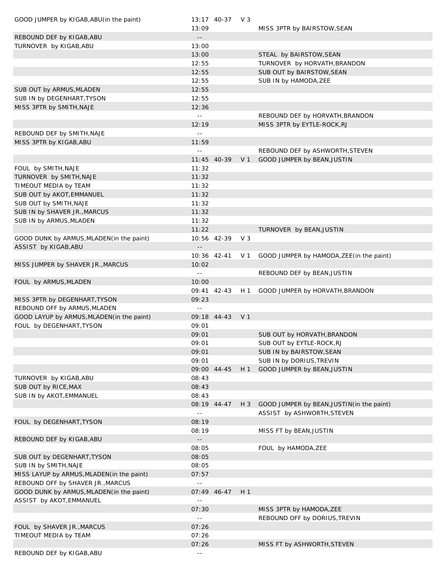| GOOD JUMPER by KIGAB, ABU (in the paint)         | 13:09                                                  | 13:17 40-37 V3 |                | MISS 3PTR by BAIRSTOW, SEAN                |
|--------------------------------------------------|--------------------------------------------------------|----------------|----------------|--------------------------------------------|
| REBOUND DEF by KIGAB, ABU                        | $\sim$ $\sim$                                          |                |                |                                            |
| TURNOVER by KIGAB, ABU                           | 13:00                                                  |                |                |                                            |
|                                                  | 13:00                                                  |                |                | STEAL by BAIRSTOW, SEAN                    |
|                                                  | 12:55                                                  |                |                | TURNOVER by HORVATH, BRANDON               |
|                                                  | 12:55                                                  |                |                | SUB OUT by BAIRSTOW, SEAN                  |
|                                                  | 12:55                                                  |                |                | SUB IN by HAMODA, ZEE                      |
| SUB OUT by ARMUS, MLADEN                         | 12:55                                                  |                |                |                                            |
| SUB IN by DEGENHART, TYSON                       | 12:55                                                  |                |                |                                            |
| MISS 3PTR by SMITH, NAJE                         | 12:36                                                  |                |                |                                            |
|                                                  | $\sim$ $\sim$                                          |                |                | REBOUND DEF by HORVATH, BRANDON            |
|                                                  | 12:19                                                  |                |                | MISS 3PTR by EYTLE-ROCK, RJ                |
| REBOUND DEF by SMITH, NAJE                       | $\sim$ $-$                                             |                |                |                                            |
| MISS 3PTR by KIGAB, ABU                          | 11:59                                                  |                |                |                                            |
|                                                  | $\sim$ $-$                                             |                |                | REBOUND DEF by ASHWORTH, STEVEN            |
| FOUL by SMITH, NAJE                              |                                                        | 11:45 40-39    | V <sub>1</sub> | GOOD JUMPER by BEAN, JUSTIN                |
|                                                  | 11:32<br>11:32                                         |                |                |                                            |
| TURNOVER by SMITH, NAJE<br>TIMEOUT MEDIA by TEAM | 11:32                                                  |                |                |                                            |
| SUB OUT by AKOT, EMMANUEL                        | 11:32                                                  |                |                |                                            |
| SUB OUT by SMITH, NAJE                           | 11:32                                                  |                |                |                                            |
| SUB IN by SHAVER JR., MARCUS                     | 11:32                                                  |                |                |                                            |
| SUB IN by ARMUS, MLADEN                          | 11:32                                                  |                |                |                                            |
|                                                  | 11:22                                                  |                |                | TURNOVER by BEAN, JUSTIN                   |
| GOOD DUNK by ARMUS, MLADEN (in the paint)        |                                                        | 10:56 42-39    | V <sub>3</sub> |                                            |
| ASSIST by KIGAB, ABU                             | $\sim$ $-$                                             |                |                |                                            |
|                                                  |                                                        | 10:36 42-41    | V 1            | GOOD JUMPER by HAMODA, ZEE (in the paint)  |
| MISS JUMPER by SHAVER JR., MARCUS                | 10:02                                                  |                |                |                                            |
|                                                  | $\sim$ $\sim$                                          |                |                | REBOUND DEF by BEAN, JUSTIN                |
| FOUL by ARMUS, MLADEN                            | 10:00                                                  |                |                |                                            |
|                                                  |                                                        | 09:41 42-43    | $H_1$          | GOOD JUMPER by HORVATH, BRANDON            |
| MISS 3PTR by DEGENHART, TYSON                    | 09:23                                                  |                |                |                                            |
| REBOUND OFF by ARMUS, MLADEN                     | $\perp$ $\perp$                                        |                |                |                                            |
| GOOD LAYUP by ARMUS, MLADEN (in the paint)       |                                                        | 09:18 44-43    | V 1            |                                            |
| FOUL by DEGENHART, TYSON                         | 09:01                                                  |                |                |                                            |
|                                                  | 09:01                                                  |                |                | SUB OUT by HORVATH, BRANDON                |
|                                                  | 09:01                                                  |                |                | SUB OUT by EYTLE-ROCK, RJ                  |
|                                                  | 09:01                                                  |                |                | SUB IN by BAIRSTOW, SEAN                   |
|                                                  | 09:01                                                  |                |                | SUB IN by DORIUS, TREVIN                   |
|                                                  |                                                        | 09:00 44-45    | H1             | GOOD JUMPER by BEAN, JUSTIN                |
| TURNOVER by KIGAB, ABU                           | 08:43                                                  |                |                |                                            |
| SUB OUT by RICE, MAX                             | 08:43                                                  |                |                |                                            |
| SUB IN by AKOT, EMMANUEL                         | 08:43                                                  |                |                |                                            |
|                                                  |                                                        | 08:19 44-47    | $H_3$          | GOOD JUMPER by BEAN, JUSTIN (in the paint) |
|                                                  | $\sim$ $\sim$                                          |                |                | ASSIST by ASHWORTH, STEVEN                 |
| FOUL by DEGENHART, TYSON                         | 08:19                                                  |                |                |                                            |
| REBOUND DEF by KIGAB, ABU                        | 08:19                                                  |                |                | MISS FT by BEAN, JUSTIN                    |
|                                                  | $\mathord{\hspace{1pt}\text{--}\hspace{1pt}}$<br>08:05 |                |                | FOUL by HAMODA, ZEE                        |
| SUB OUT by DEGENHART, TYSON                      | 08:05                                                  |                |                |                                            |
| SUB IN by SMITH, NAJE                            | 08:05                                                  |                |                |                                            |
| MISS LAYUP by ARMUS, MLADEN (in the paint)       | 07:57                                                  |                |                |                                            |
| REBOUND OFF by SHAVER JR., MARCUS                | $\sim$ $\sim$                                          |                |                |                                            |
| GOOD DUNK by ARMUS, MLADEN (in the paint)        |                                                        | 07:49 46-47    | H <sub>1</sub> |                                            |
| ASSIST by AKOT, EMMANUEL                         | $\perp$ $\perp$                                        |                |                |                                            |
|                                                  | 07:30                                                  |                |                | MISS 3PTR by HAMODA, ZEE                   |
|                                                  | $\sim$ $\sim$                                          |                |                | REBOUND OFF by DORIUS, TREVIN              |
| FOUL by SHAVER JR., MARCUS                       | 07:26                                                  |                |                |                                            |
| TIMEOUT MEDIA by TEAM                            | 07:26                                                  |                |                |                                            |
|                                                  | 07:26                                                  |                |                | MISS FT by ASHWORTH, STEVEN                |
| REBOUND DEF by KIGAB, ABU                        | $\Box$                                                 |                |                |                                            |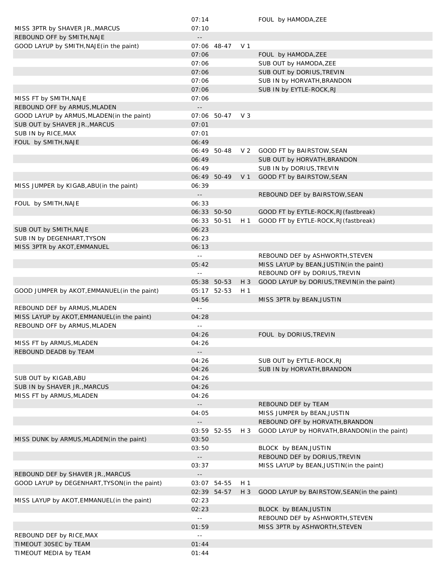|                                                | 07:14         |             |                | FOUL by HAMODA, ZEE                           |  |
|------------------------------------------------|---------------|-------------|----------------|-----------------------------------------------|--|
| MISS 3PTR by SHAVER JR., MARCUS                | 07:10         |             |                |                                               |  |
| REBOUND OFF by SMITH, NAJE                     |               |             |                |                                               |  |
| GOOD LAYUP by SMITH, NAJE (in the paint)       |               | 07:06 48-47 | V 1            |                                               |  |
|                                                | 07:06         |             |                | FOUL by HAMODA, ZEE                           |  |
|                                                | 07:06         |             |                | SUB OUT by HAMODA, ZEE                        |  |
|                                                | 07:06         |             |                | SUB OUT by DORIUS, TREVIN                     |  |
|                                                | 07:06         |             |                | SUB IN by HORVATH, BRANDON                    |  |
|                                                | 07:06         |             |                | SUB IN by EYTLE-ROCK, RJ                      |  |
| MISS FT by SMITH, NAJE                         | 07:06         |             |                |                                               |  |
|                                                |               |             |                |                                               |  |
| REBOUND OFF by ARMUS, MLADEN                   |               |             |                |                                               |  |
| GOOD LAYUP by ARMUS, MLADEN (in the paint)     |               | 07:06 50-47 | V 3            |                                               |  |
| SUB OUT by SHAVER JR., MARCUS                  | 07:01         |             |                |                                               |  |
| SUB IN by RICE, MAX                            | 07:01         |             |                |                                               |  |
| FOUL by SMITH, NAJE                            | 06:49         |             |                |                                               |  |
|                                                |               | 06:49 50-48 | V <sub>2</sub> | GOOD FT by BAIRSTOW, SEAN                     |  |
|                                                | 06:49         |             |                | SUB OUT by HORVATH, BRANDON                   |  |
|                                                | 06:49         |             |                | SUB IN by DORIUS, TREVIN                      |  |
|                                                |               | 06:49 50-49 | V <sub>1</sub> | GOOD FT by BAIRSTOW, SEAN                     |  |
| MISS JUMPER by KIGAB, ABU (in the paint)       | 06:39         |             |                |                                               |  |
|                                                |               |             |                | REBOUND DEF by BAIRSTOW, SEAN                 |  |
| FOUL by SMITH, NAJE                            | 06:33         |             |                |                                               |  |
|                                                |               | 06:33 50-50 |                | GOOD FT by EYTLE-ROCK, RJ (fastbreak)         |  |
|                                                |               |             |                |                                               |  |
|                                                |               | 06:33 50-51 | H 1            | GOOD FT by EYTLE-ROCK, RJ (fastbreak)         |  |
| SUB OUT by SMITH, NAJE                         | 06:23         |             |                |                                               |  |
| SUB IN by DEGENHART, TYSON                     | 06:23         |             |                |                                               |  |
| MISS 3PTR by AKOT, EMMANUEL                    | 06:13         |             |                |                                               |  |
|                                                | $\sim$ $\sim$ |             |                | REBOUND DEF by ASHWORTH, STEVEN               |  |
|                                                | 05:42         |             |                | MISS LAYUP by BEAN, JUSTIN (in the paint)     |  |
|                                                | $\sim$ $-$    |             |                | REBOUND OFF by DORIUS, TREVIN                 |  |
|                                                |               | 05:38 50-53 | $H_3$          | GOOD LAYUP by DORIUS, TREVIN(in the paint)    |  |
| GOOD JUMPER by AKOT, EMMANUEL (in the paint)   |               | 05:17 52-53 | H 1            |                                               |  |
|                                                | 04:56         |             |                | MISS 3PTR by BEAN, JUSTIN                     |  |
| REBOUND DEF by ARMUS, MLADEN                   | $\sim$ $-$    |             |                |                                               |  |
|                                                | 04:28         |             |                |                                               |  |
|                                                |               |             |                |                                               |  |
| MISS LAYUP by AKOT, EMMANUEL (in the paint)    |               |             |                |                                               |  |
| REBOUND OFF by ARMUS, MLADEN                   | $\sim$ $\sim$ |             |                |                                               |  |
|                                                | 04:26         |             |                | FOUL by DORIUS, TREVIN                        |  |
| MISS FT by ARMUS, MLADEN                       | 04:26         |             |                |                                               |  |
| REBOUND DEADB by TEAM                          |               |             |                |                                               |  |
|                                                | 04:26         |             |                | SUB OUT by EYTLE-ROCK, RJ                     |  |
|                                                | 04:26         |             |                | SUB IN by HORVATH, BRANDON                    |  |
| SUB OUT by KIGAB, ABU                          | 04:26         |             |                |                                               |  |
| SUB IN by SHAVER JR., MARCUS                   | 04:26         |             |                |                                               |  |
| MISS FT by ARMUS, MLADEN                       | 04:26         |             |                |                                               |  |
|                                                |               |             |                | REBOUND DEF by TEAM                           |  |
|                                                | 04:05         |             |                | MISS JUMPER by BEAN, JUSTIN                   |  |
|                                                |               |             |                |                                               |  |
|                                                |               |             |                | REBOUND OFF by HORVATH, BRANDON               |  |
|                                                |               | 03:59 52-55 | $H_3$          | GOOD LAYUP by HORVATH, BRANDON (in the paint) |  |
| MISS DUNK by ARMUS, MLADEN (in the paint)      | 03:50         |             |                |                                               |  |
|                                                | 03:50         |             |                | BLOCK by BEAN, JUSTIN                         |  |
|                                                |               |             |                | REBOUND DEF by DORIUS, TREVIN                 |  |
|                                                | 03:37         |             |                | MISS LAYUP by BEAN, JUSTIN (in the paint)     |  |
| REBOUND DEF by SHAVER JR., MARCUS              |               |             |                |                                               |  |
| GOOD LAYUP by DEGENHART, TYSON (in the paint)  |               | 03:07 54-55 | H <sub>1</sub> |                                               |  |
|                                                |               | 02:39 54-57 | $H_3$          | GOOD LAYUP by BAIRSTOW, SEAN (in the paint)   |  |
| MISS LAYUP by AKOT, EMMANUEL (in the paint)    | 02:23         |             |                |                                               |  |
|                                                | 02:23         |             |                | BLOCK by BEAN, JUSTIN                         |  |
|                                                | $\sim$ $\sim$ |             |                | REBOUND DEF by ASHWORTH, STEVEN               |  |
|                                                | 01:59         |             |                | MISS 3PTR by ASHWORTH, STEVEN                 |  |
|                                                | $\sim$ $-$    |             |                |                                               |  |
| REBOUND DEF by RICE, MAX                       | 01:44         |             |                |                                               |  |
| TIMEOUT 30SEC by TEAM<br>TIMEOUT MEDIA by TEAM | 01:44         |             |                |                                               |  |